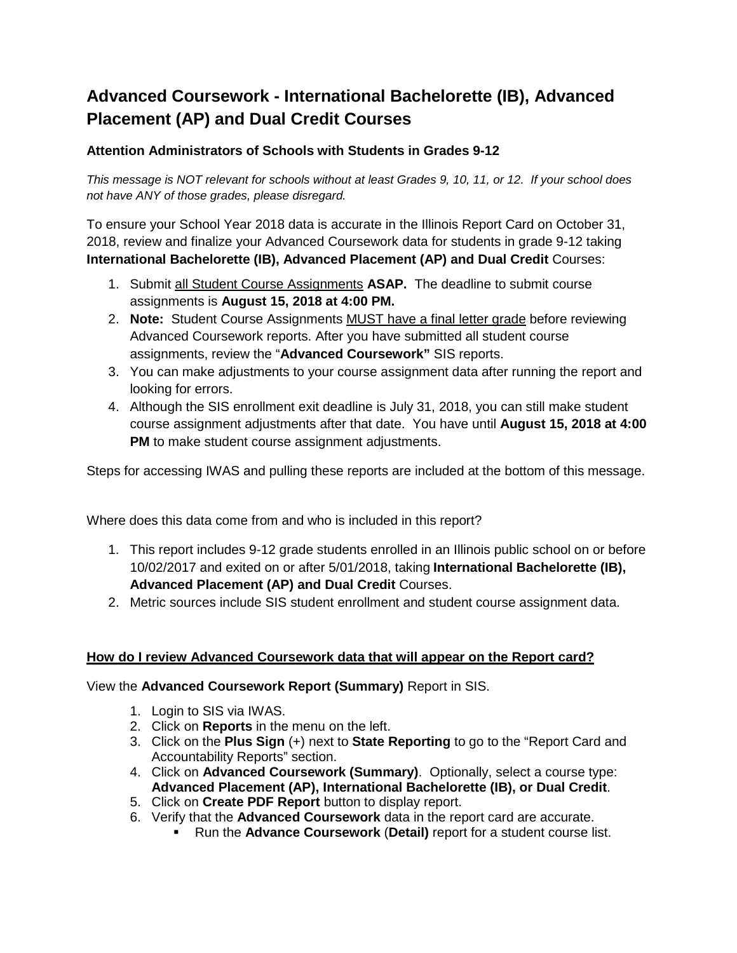# **Advanced Coursework - International Bachelorette (IB), Advanced Placement (AP) and Dual Credit Courses**

### **Attention Administrators of Schools with Students in Grades 9-12**

*This message is NOT relevant for schools without at least Grades 9, 10, 11, or 12. If your school does not have ANY of those grades, please disregard.*

To ensure your School Year 2018 data is accurate in the Illinois Report Card on October 31, 2018, review and finalize your Advanced Coursework data for students in grade 9-12 taking **International Bachelorette (IB), Advanced Placement (AP) and Dual Credit** Courses:

- 1. Submit all Student Course Assignments **ASAP.** The deadline to submit course assignments is **August 15, 2018 at 4:00 PM.**
- 2. **Note:** Student Course Assignments MUST have a final letter grade before reviewing Advanced Coursework reports. After you have submitted all student course assignments, review the "**Advanced Coursework"** SIS reports.
- 3. You can make adjustments to your course assignment data after running the report and looking for errors.
- 4. Although the SIS enrollment exit deadline is July 31, 2018, you can still make student course assignment adjustments after that date. You have until **August 15, 2018 at 4:00 PM** to make student course assignment adjustments.

Steps for accessing IWAS and pulling these reports are included at the bottom of this message.

Where does this data come from and who is included in this report?

- 1. This report includes 9-12 grade students enrolled in an Illinois public school on or before 10/02/2017 and exited on or after 5/01/2018, taking **International Bachelorette (IB), Advanced Placement (AP) and Dual Credit** Courses.
- 2. Metric sources include SIS student enrollment and student course assignment data.

#### **How do I review Advanced Coursework data that will appear on the Report card?**

View the **Advanced Coursework Report (Summary)** Report in SIS.

- 1. Login to SIS via IWAS.
- 2. Click on **Reports** in the menu on the left.
- 3. Click on the **Plus Sign** (+) next to **State Reporting** to go to the "Report Card and Accountability Reports" section.
- 4. Click on **Advanced Coursework (Summary)**. Optionally, select a course type: **Advanced Placement (AP), International Bachelorette (IB), or Dual Credit**.
- 5. Click on **Create PDF Report** button to display report.
- 6. Verify that the **Advanced Coursework** data in the report card are accurate.
	- Run the **Advance Coursework** (**Detail)** report for a student course list.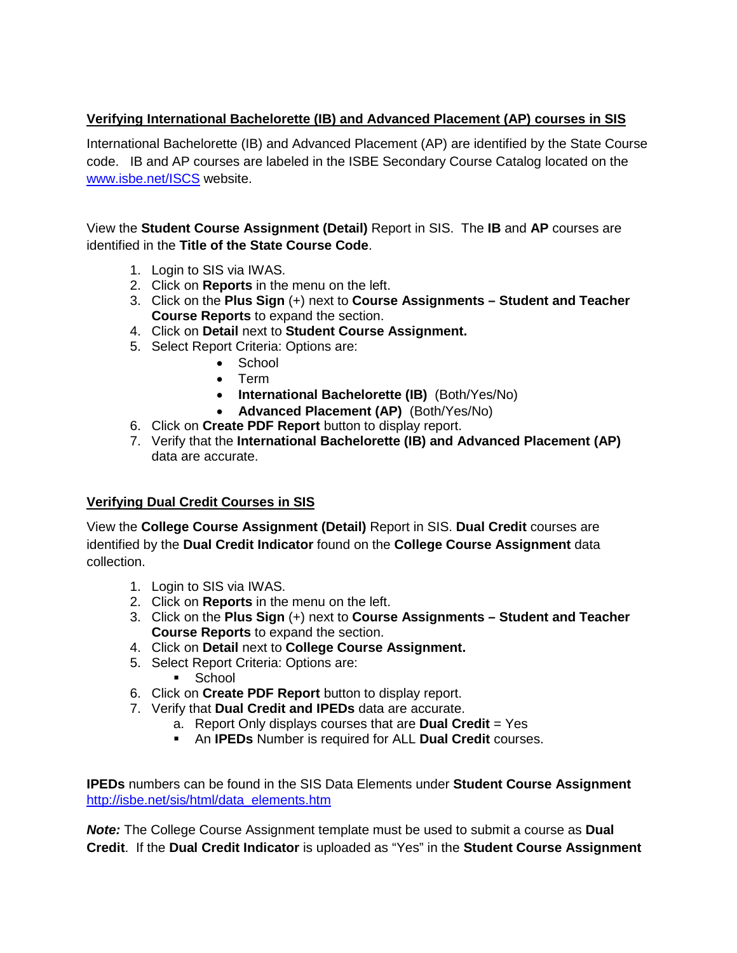## **Verifying International Bachelorette (IB) and Advanced Placement (AP) courses in SIS**

International Bachelorette (IB) and Advanced Placement (AP) are identified by the State Course code. IB and AP courses are labeled in the ISBE Secondary Course Catalog located on the [www.isbe.net/ISCS](http://www.isbe.net/ISCS) website.

View the **Student Course Assignment (Detail)** Report in SIS. The **IB** and **AP** courses are identified in the **Title of the State Course Code**.

- 1. Login to SIS via IWAS.
- 2. Click on **Reports** in the menu on the left.
- 3. Click on the **Plus Sign** (+) next to **Course Assignments – Student and Teacher Course Reports** to expand the section.
- 4. Click on **Detail** next to **Student Course Assignment.**
- 5. Select Report Criteria: Options are:
	- School
	- Term
	- **International Bachelorette (IB)** (Both/Yes/No)
	- **Advanced Placement (AP)** (Both/Yes/No)
- 6. Click on **Create PDF Report** button to display report.
- 7. Verify that the **International Bachelorette (IB) and Advanced Placement (AP)** data are accurate.

#### **Verifying Dual Credit Courses in SIS**

View the **College Course Assignment (Detail)** Report in SIS. **Dual Credit** courses are identified by the **Dual Credit Indicator** found on the **College Course Assignment** data collection.

- 1. Login to SIS via IWAS.
- 2. Click on **Reports** in the menu on the left.
- 3. Click on the **Plus Sign** (+) next to **Course Assignments – Student and Teacher Course Reports** to expand the section.
- 4. Click on **Detail** next to **College Course Assignment.**
- 5. Select Report Criteria: Options are:
	- **School**
- 6. Click on **Create PDF Report** button to display report.
- 7. Verify that **Dual Credit and IPEDs** data are accurate.
	- a. Report Only displays courses that are **Dual Credit** = Yes
	- An **IPEDs** Number is required for ALL **Dual Credit** courses.

**IPEDs** numbers can be found in the SIS Data Elements under **Student Course Assignment**  [http://isbe.net/sis/html/data\\_elements.htm](http://isbe.net/sis/html/data_elements.htm)

*Note:* The College Course Assignment template must be used to submit a course as **Dual Credit**. If the **Dual Credit Indicator** is uploaded as "Yes" in the **Student Course Assignment**